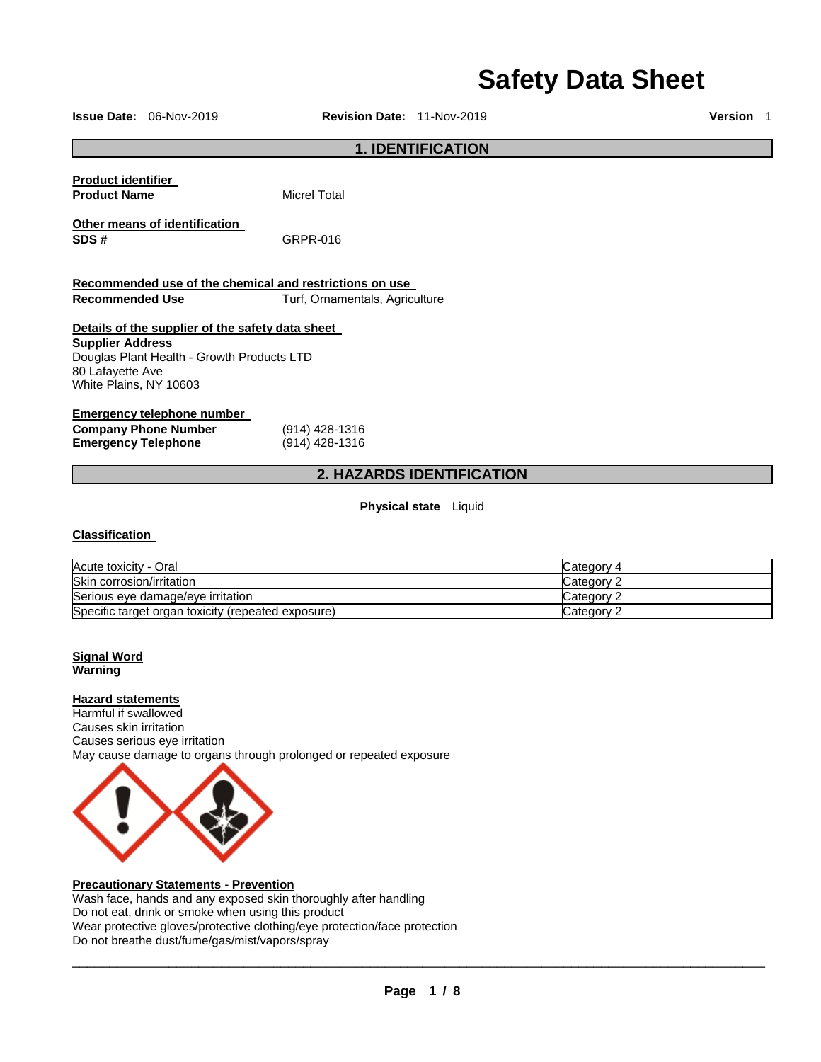# **Safety Data Sheet**

**Issue Date:** 06-Nov-2019 **Revision Date:** 11-Nov-2019 **Version** 1 **1. IDENTIFICATION Product identifier Product Name** Micrel Total **Other means of identification SDS #** GRPR-016 **Recommended use of the chemical and restrictions on use Recommended Use** Turf, Ornamentals, Agriculture **Details of the supplier of the safety data sheet Supplier Address**  Douglas Plant Health - Growth Products LTD 80 Lafayette Ave White Plains, NY 10603 **Emergency telephone number Company Phone Number** (914) 428-1316<br> **Emergency Telephone** (914) 428-1316 **Emergency Telephone 2. HAZARDS IDENTIFICATION Physical state** Liquid **Classification**  Acute toxicity - Oral Category 4<br>
Skin corrosion/irritation Category 2 Skin corrosion/irritation Serious eye damage/eye irritation contract the contract of category 2

Specific target organ toxicity (repeated exposure) Category 2 Category 2

### **Signal Word Warning**

### **Hazard statements**

Harmful if swallowed Causes skin irritation Causes serious eye irritation May cause damage to organs through prolonged or repeated exposure



### **Precautionary Statements - Prevention**

Wash face, hands and any exposed skin thoroughly after handling Do not eat, drink or smoke when using this product Wear protective gloves/protective clothing/eye protection/face protection Do not breathe dust/fume/gas/mist/vapors/spray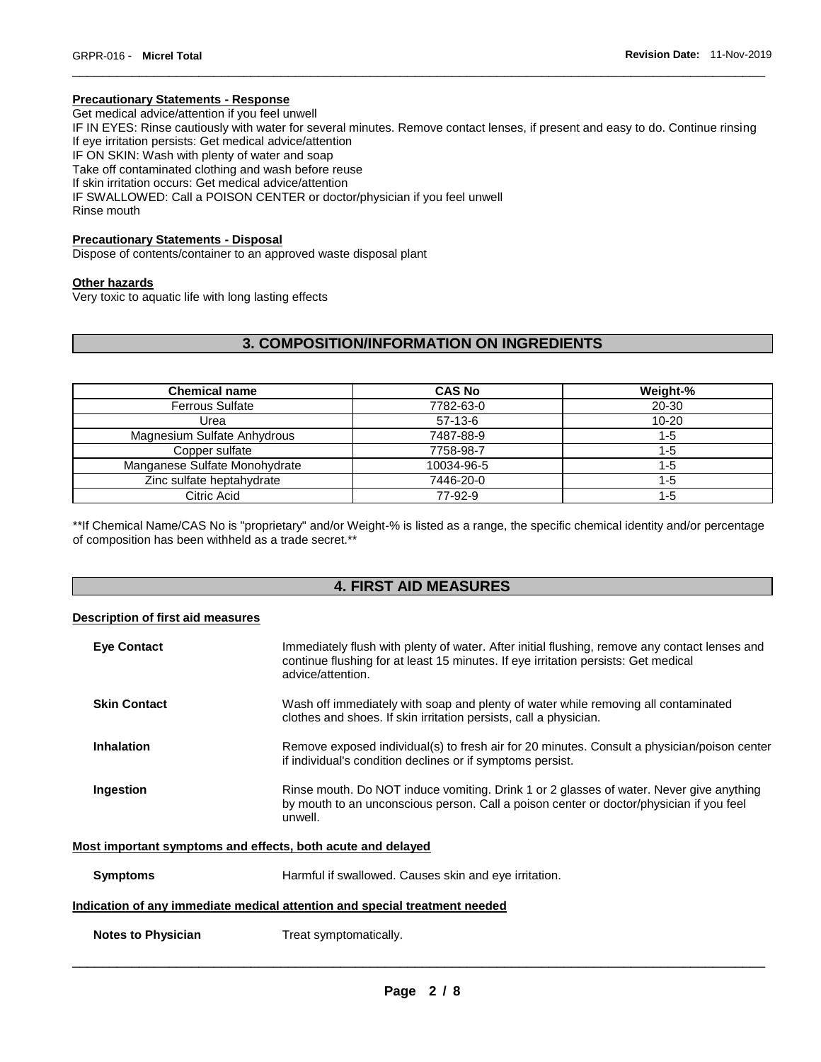### **Precautionary Statements - Response**

Get medical advice/attention if you feel unwell IF IN EYES: Rinse cautiously with water for several minutes. Remove contact lenses, if present and easy to do. Continue rinsing If eye irritation persists: Get medical advice/attention IF ON SKIN: Wash with plenty of water and soap Take off contaminated clothing and wash before reuse If skin irritation occurs: Get medical advice/attention IF SWALLOWED: Call a POISON CENTER or doctor/physician if you feel unwell Rinse mouth

\_\_\_\_\_\_\_\_\_\_\_\_\_\_\_\_\_\_\_\_\_\_\_\_\_\_\_\_\_\_\_\_\_\_\_\_\_\_\_\_\_\_\_\_\_\_\_\_\_\_\_\_\_\_\_\_\_\_\_\_\_\_\_\_\_\_\_\_\_\_\_\_\_\_\_\_\_\_\_\_\_\_\_\_\_\_\_\_\_\_\_\_\_

### **Precautionary Statements - Disposal**

Dispose of contents/container to an approved waste disposal plant

#### **Other hazards**

Very toxic to aquatic life with long lasting effects

# **3. COMPOSITION/INFORMATION ON INGREDIENTS**

| <b>Chemical name</b>          | <b>CAS No</b> | Weight-%  |
|-------------------------------|---------------|-----------|
| <b>Ferrous Sulfate</b>        | 7782-63-0     | 20-30     |
| Urea                          | $57-13-6$     | $10 - 20$ |
| Magnesium Sulfate Anhydrous   | 7487-88-9     | 1-5       |
| Copper sulfate                | 7758-98-7     | 1-5       |
| Manganese Sulfate Monohydrate | 10034-96-5    | 1-5       |
| Zinc sulfate heptahydrate     | 7446-20-0     | 1-5       |
| Citric Acid                   | 77-92-9       | 1-5       |

\*\*If Chemical Name/CAS No is "proprietary" and/or Weight-% is listed as a range, the specific chemical identity and/or percentage of composition has been withheld as a trade secret.\*\*

# **4. FIRST AID MEASURES**

# **Description of first aid measures**

| <b>Eve Contact</b>                                          | Immediately flush with plenty of water. After initial flushing, remove any contact lenses and<br>continue flushing for at least 15 minutes. If eye irritation persists: Get medical<br>advice/attention. |
|-------------------------------------------------------------|----------------------------------------------------------------------------------------------------------------------------------------------------------------------------------------------------------|
| <b>Skin Contact</b>                                         | Wash off immediately with soap and plenty of water while removing all contaminated<br>clothes and shoes. If skin irritation persists, call a physician.                                                  |
| <b>Inhalation</b>                                           | Remove exposed individual(s) to fresh air for 20 minutes. Consult a physician/poison center<br>if individual's condition declines or if symptoms persist.                                                |
| Ingestion                                                   | Rinse mouth. Do NOT induce vomiting. Drink 1 or 2 glasses of water. Never give anything<br>by mouth to an unconscious person. Call a poison center or doctor/physician if you feel<br>unwell.            |
| Most important symptoms and effects, both acute and delayed |                                                                                                                                                                                                          |
| <b>Symptoms</b>                                             | Harmful if swallowed. Causes skin and eye irritation.                                                                                                                                                    |
|                                                             | Indication of any immediate medical attention and special treatment needed                                                                                                                               |
| <b>Notes to Physician</b>                                   | Treat symptomatically.                                                                                                                                                                                   |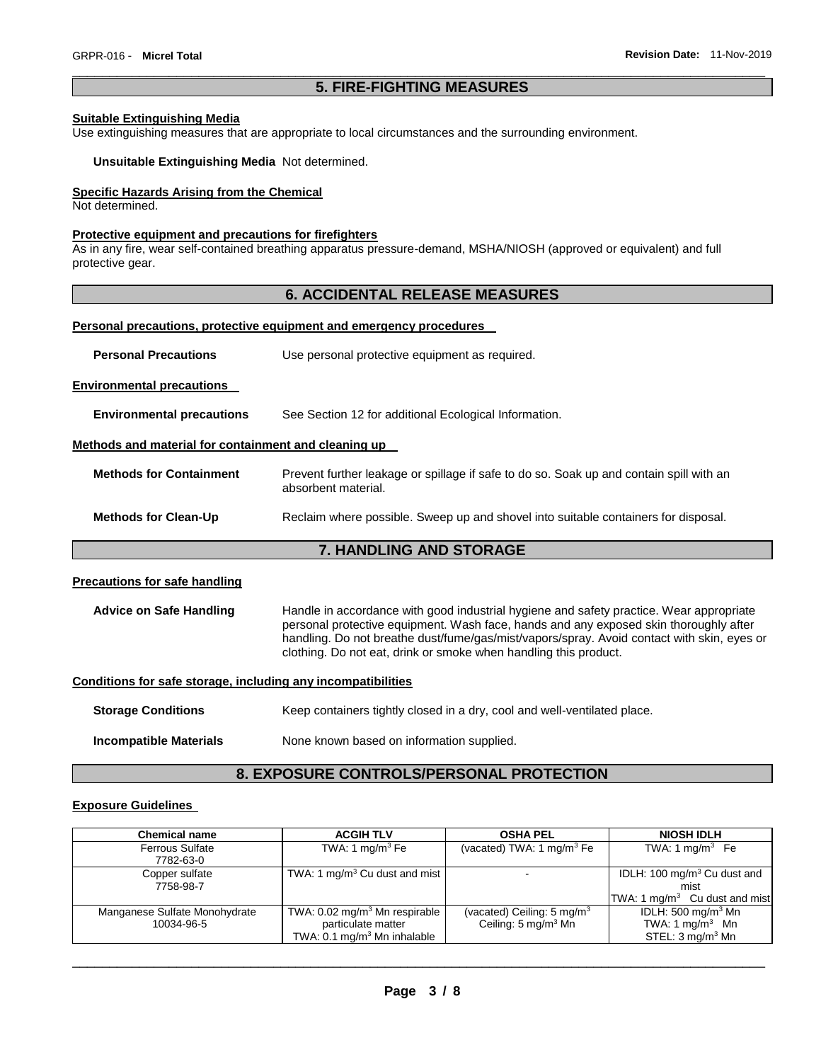# \_\_\_\_\_\_\_\_\_\_\_\_\_\_\_\_\_\_\_\_\_\_\_\_\_\_\_\_\_\_\_\_\_\_\_\_\_\_\_\_\_\_\_\_\_\_\_\_\_\_\_\_\_\_\_\_\_\_\_\_\_\_\_\_\_\_\_\_\_\_\_\_\_\_\_\_\_\_\_\_\_\_\_\_\_\_\_\_\_\_\_\_\_ **5. FIRE-FIGHTING MEASURES**

### **Suitable Extinguishing Media**

Use extinguishing measures that are appropriate to local circumstances and the surrounding environment.

#### **Unsuitable Extinguishing Media** Not determined.

#### **Specific Hazards Arising from the Chemical**

Not determined.

## **Protective equipment and precautions for firefighters**

As in any fire, wear self-contained breathing apparatus pressure-demand, MSHA/NIOSH (approved or equivalent) and full protective gear.

# **6. ACCIDENTAL RELEASE MEASURES**

# **Personal precautions, protective equipment and emergency procedures**

| <b>Personal Precautions</b> | Use personal protective equipment as required. |
|-----------------------------|------------------------------------------------|
|                             |                                                |

**Environmental precautions** 

**Environmental precautions** See Section 12 for additional Ecological Information.

### **Methods and material for containment and cleaning up**

| <b>Methods for Containment</b> | Prevent further leakage or spillage if safe to do so. Soak up and contain spill with an<br>absorbent material. |
|--------------------------------|----------------------------------------------------------------------------------------------------------------|
| <b>Methods for Clean-Up</b>    | Reclaim where possible. Sweep up and shovel into suitable containers for disposal.                             |

### **7. HANDLING AND STORAGE**

# **Precautions for safe handling**

**Advice on Safe Handling** Handle in accordance with good industrial hygiene and safety practice. Wear appropriate personal protective equipment. Wash face, hands and any exposed skin thoroughly after handling. Do not breathe dust/fume/gas/mist/vapors/spray. Avoid contact with skin, eyes or clothing. Do not eat, drink or smoke when handling this product.

# **Conditions for safe storage, including any incompatibilities**

**Storage Conditions Keep containers tightly closed in a dry, cool and well-ventilated place. Incompatible Materials None known based on information supplied.** 

### **8. EXPOSURE CONTROLS/PERSONAL PROTECTION**

### **Exposure Guidelines**

| <b>Chemical name</b>                        | <b>ACGIH TLV</b>                                                                                         | <b>OSHA PEL</b>                                                           | <b>NIOSH IDLH</b>                                                                           |
|---------------------------------------------|----------------------------------------------------------------------------------------------------------|---------------------------------------------------------------------------|---------------------------------------------------------------------------------------------|
| <b>Ferrous Sulfate</b><br>7782-63-0         | TWA: 1 mg/m $3$ Fe                                                                                       | (vacated) TWA: 1 mg/m <sup>3</sup> Fe                                     | TWA: 1 mg/m <sup>3</sup> Fe                                                                 |
| Copper sulfate<br>7758-98-7                 | TWA: 1 mg/m <sup>3</sup> Cu dust and mist $\vert$                                                        |                                                                           | IDLH: 100 mg/m <sup>3</sup> Cu dust and<br>mist                                             |
|                                             |                                                                                                          |                                                                           | TWA: 1 mg/m <sup>3</sup> Cu dust and mist                                                   |
| Manganese Sulfate Monohydrate<br>10034-96-5 | TWA: $0.02 \text{ mg/m}^3$ Mn respirable<br>particulate matter<br>TWA: $0.1 \text{ mg/m}^3$ Mn inhalable | (vacated) Ceiling: 5 mg/m <sup>3</sup><br>Ceiling: 5 mg/m <sup>3</sup> Mn | IDLH: $500 \text{ mg/m}^3$ Mn<br>TWA: 1 mg/m <sup>3</sup> Mn<br>STEL: $3 \text{ mq/m}^3$ Mn |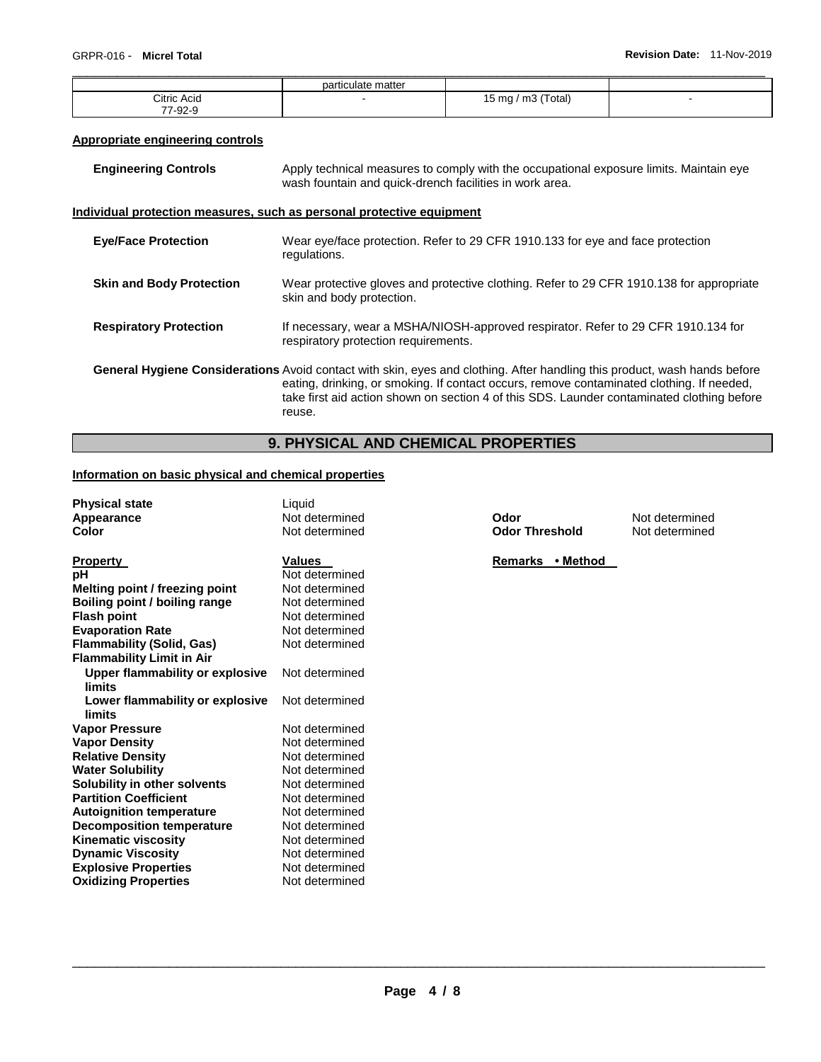**Not determined Not determined** 

|             | particulate matter |                    |                          |
|-------------|--------------------|--------------------|--------------------------|
| Citric Acid |                    | 15 mg / m3 (Total) | $\overline{\phantom{a}}$ |
| 77-92-9     |                    |                    |                          |

# **Appropriate engineering controls**

| <b>Engineering Controls</b> | Apply technical measures to comply with the occupational exposure limits. Maintain eye<br>wash fountain and quick-drench facilities in work area. |
|-----------------------------|---------------------------------------------------------------------------------------------------------------------------------------------------|
|                             |                                                                                                                                                   |

# **Individual protection measures, such as personal protective equipment**

| <b>Eye/Face Protection</b>      | Wear eye/face protection. Refer to 29 CFR 1910.133 for eye and face protection<br>regulations.                                                                                                                                                                                                                                 |
|---------------------------------|--------------------------------------------------------------------------------------------------------------------------------------------------------------------------------------------------------------------------------------------------------------------------------------------------------------------------------|
| <b>Skin and Body Protection</b> | Wear protective gloves and protective clothing. Refer to 29 CFR 1910.138 for appropriate<br>skin and body protection.                                                                                                                                                                                                          |
| <b>Respiratory Protection</b>   | If necessary, wear a MSHA/NIOSH-approved respirator. Refer to 29 CFR 1910.134 for<br>respiratory protection requirements.                                                                                                                                                                                                      |
|                                 | General Hygiene Considerations Avoid contact with skin, eyes and clothing. After handling this product, wash hands before<br>eating, drinking, or smoking. If contact occurs, remove contaminated clothing. If needed,<br>take first aid action shown on section 4 of this SDS. Launder contaminated clothing before<br>reuse. |

# **9. PHYSICAL AND CHEMICAL PROPERTIES**

# **Information on basic physical and chemical properties**

| <b>Physical state</b>            | Liquid         |                       |
|----------------------------------|----------------|-----------------------|
| Appearance                       | Not determined | Odor                  |
| Color                            | Not determined | <b>Odor Threshold</b> |
|                                  |                |                       |
| <b>Property</b>                  | <b>Values</b>  | Remarks • Method      |
| рH                               | Not determined |                       |
| Melting point / freezing point   | Not determined |                       |
| Boiling point / boiling range    | Not determined |                       |
| <b>Flash point</b>               | Not determined |                       |
| <b>Evaporation Rate</b>          | Not determined |                       |
| <b>Flammability (Solid, Gas)</b> | Not determined |                       |
| <b>Flammability Limit in Air</b> |                |                       |
| Upper flammability or explosive  | Not determined |                       |
| limits                           |                |                       |
| Lower flammability or explosive  | Not determined |                       |
| limits                           |                |                       |
| <b>Vapor Pressure</b>            | Not determined |                       |
| <b>Vapor Density</b>             | Not determined |                       |
| <b>Relative Density</b>          | Not determined |                       |
| <b>Water Solubility</b>          | Not determined |                       |
| Solubility in other solvents     | Not determined |                       |
| <b>Partition Coefficient</b>     | Not determined |                       |
| <b>Autoignition temperature</b>  | Not determined |                       |
| <b>Decomposition temperature</b> | Not determined |                       |
| <b>Kinematic viscosity</b>       | Not determined |                       |
| <b>Dynamic Viscosity</b>         | Not determined |                       |
| <b>Explosive Properties</b>      | Not determined |                       |
| <b>Oxidizing Properties</b>      | Not determined |                       |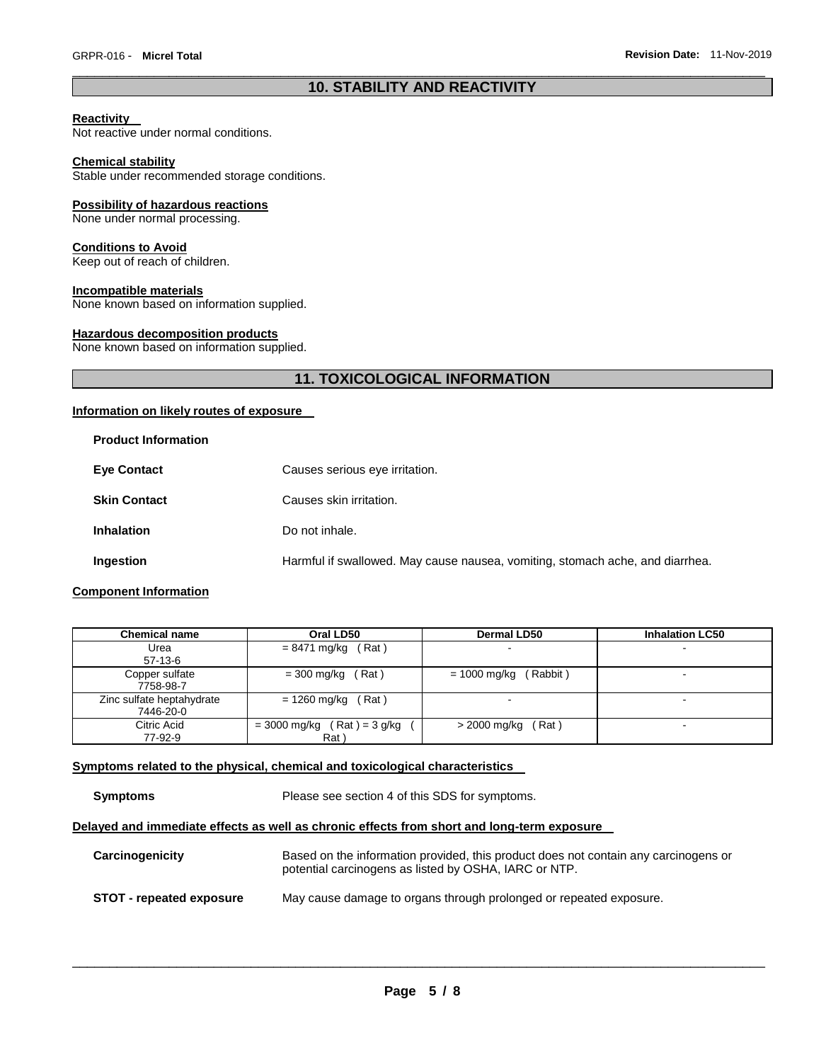# \_\_\_\_\_\_\_\_\_\_\_\_\_\_\_\_\_\_\_\_\_\_\_\_\_\_\_\_\_\_\_\_\_\_\_\_\_\_\_\_\_\_\_\_\_\_\_\_\_\_\_\_\_\_\_\_\_\_\_\_\_\_\_\_\_\_\_\_\_\_\_\_\_\_\_\_\_\_\_\_\_\_\_\_\_\_\_\_\_\_\_\_\_ **10. STABILITY AND REACTIVITY**

### **Reactivity**

Not reactive under normal conditions.

#### **Chemical stability**

Stable under recommended storage conditions.

#### **Possibility of hazardous reactions**

None under normal processing.

### **Conditions to Avoid**

Keep out of reach of children.

#### **Incompatible materials**

None known based on information supplied.

### **Hazardous decomposition products**

None known based on information supplied.

# **11. TOXICOLOGICAL INFORMATION**

### **Information on likely routes of exposure**

| <b>Product Information</b> |                                                                               |
|----------------------------|-------------------------------------------------------------------------------|
| <b>Eye Contact</b>         | Causes serious eye irritation.                                                |
| <b>Skin Contact</b>        | Causes skin irritation.                                                       |
| <b>Inhalation</b>          | Do not inhale.                                                                |
| Ingestion                  | Harmful if swallowed. May cause nausea, vomiting, stomach ache, and diarrhea. |

# **Component Information**

| <b>Chemical name</b>                   | Oral LD50                            | <b>Dermal LD50</b>       | <b>Inhalation LC50</b>   |
|----------------------------------------|--------------------------------------|--------------------------|--------------------------|
| Urea<br>$57-13-6$                      | $= 8471$ mg/kg (Rat)                 |                          | $\overline{\phantom{a}}$ |
| Copper sulfate<br>7758-98-7            | (Rat)<br>$= 300 \text{ mg/kg}$ (     | (Rabbit)<br>= 1000 mg/kg | -                        |
| Zinc sulfate heptahydrate<br>7446-20-0 | $= 1260$ mg/kg (Rat)                 |                          | -                        |
| Citric Acid<br>77-92-9                 | $= 3000$ mg/kg (Rat) = 3 g/kg<br>Rat | $>$ 2000 mg/kg (Rat)     |                          |

# **Symptoms related to the physical, chemical and toxicological characteristics**

**Symptoms** Please see section 4 of this SDS for symptoms.

# **Delayed and immediate effects as well as chronic effects from short and long-term exposure**

| Carcinogenicity                 | Based on the information provided, this product does not contain any carcinogens or<br>potential carcinogens as listed by OSHA, IARC or NTP. |
|---------------------------------|----------------------------------------------------------------------------------------------------------------------------------------------|
| <b>STOT - repeated exposure</b> | May cause damage to organs through prolonged or repeated exposure.                                                                           |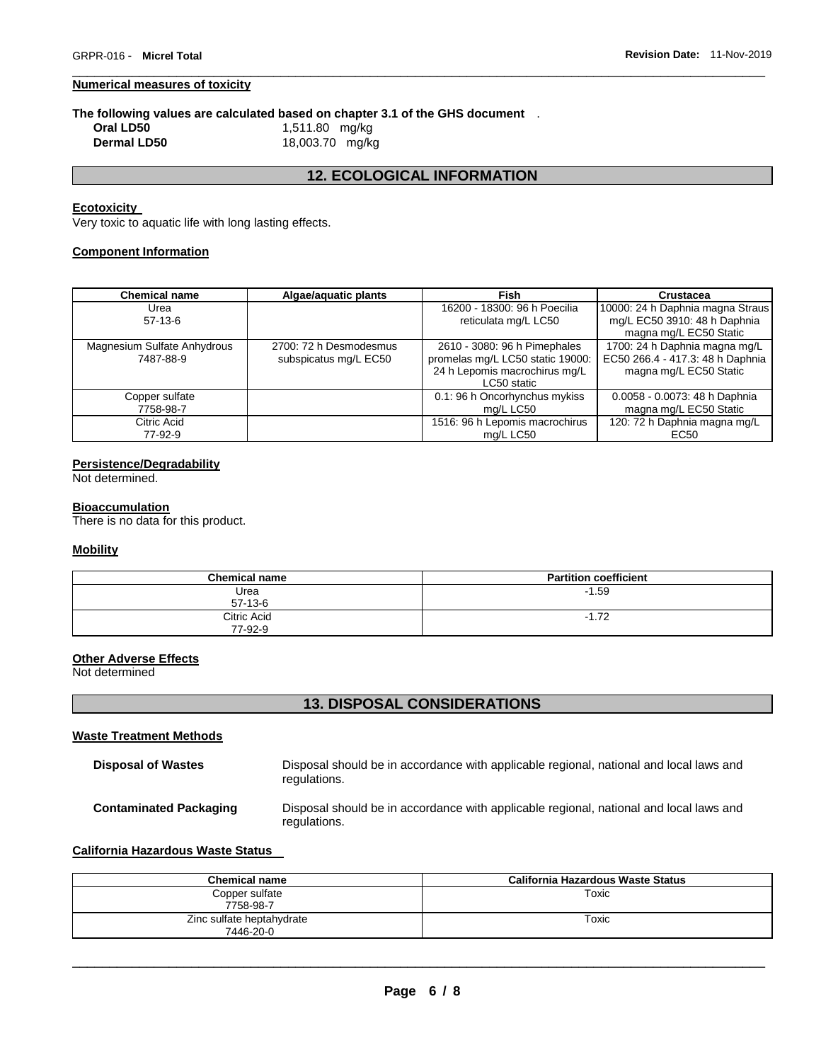# **Numerical measures of toxicity**

# **The following values are calculated based on chapter 3.1 of the GHS document** .

**Dermal LD50** 18,003.70 mg/kg

**Oral LD50** 1,511.80 mg/kg

# **12. ECOLOGICAL INFORMATION**

\_\_\_\_\_\_\_\_\_\_\_\_\_\_\_\_\_\_\_\_\_\_\_\_\_\_\_\_\_\_\_\_\_\_\_\_\_\_\_\_\_\_\_\_\_\_\_\_\_\_\_\_\_\_\_\_\_\_\_\_\_\_\_\_\_\_\_\_\_\_\_\_\_\_\_\_\_\_\_\_\_\_\_\_\_\_\_\_\_\_\_\_\_

### **Ecotoxicity**

Very toxic to aquatic life with long lasting effects.

# **Component Information**

| <b>Chemical name</b>        | Algae/aquatic plants   | Fish                             | <b>Crustacea</b>                 |
|-----------------------------|------------------------|----------------------------------|----------------------------------|
| Urea                        |                        | 16200 - 18300: 96 h Poecilia     | 10000: 24 h Daphnia magna Straus |
| $57-13-6$                   |                        | reticulata mg/L LC50             | mg/L EC50 3910: 48 h Daphnia     |
|                             |                        |                                  | magna mg/L EC50 Static           |
| Magnesium Sulfate Anhydrous | 2700: 72 h Desmodesmus | 2610 - 3080: 96 h Pimephales     | 1700: 24 h Daphnia magna mg/L    |
| 7487-88-9                   | subspicatus mg/L EC50  | promelas mg/L LC50 static 19000: | EC50 266.4 - 417.3: 48 h Daphnia |
|                             |                        | 24 h Lepomis macrochirus mg/L    | magna mg/L EC50 Static           |
|                             |                        | LC50 static                      |                                  |
| Copper sulfate              |                        | 0.1: 96 h Oncorhynchus mykiss    | 0.0058 - 0.0073: 48 h Daphnia    |
| 7758-98-7                   |                        | mg/L LC50                        | magna mg/L EC50 Static           |
| Citric Acid                 |                        | 1516: 96 h Lepomis macrochirus   | 120: 72 h Daphnia magna mg/L     |
| 77-92-9                     |                        | mg/L LC50                        | EC <sub>50</sub>                 |

# **Persistence/Degradability**

Not determined.

### **Bioaccumulation**

There is no data for this product.

# **Mobility**

| <b>Chemical name</b>   | <b>Partition coefficient</b> |
|------------------------|------------------------------|
| Urea<br>$57 - 13 - 6$  | $-1.59$                      |
| Citric Acid<br>77-92-9 | $-1.72$                      |

# **Other Adverse Effects**

Not determined

# **13. DISPOSAL CONSIDERATIONS**

#### **Waste Treatment Methods**

| <b>Disposal of Wastes</b>     | Disposal should be in accordance with applicable regional, national and local laws and<br>regulations. |
|-------------------------------|--------------------------------------------------------------------------------------------------------|
| <b>Contaminated Packaging</b> | Disposal should be in accordance with applicable regional, national and local laws and<br>regulations. |

### **California Hazardous Waste Status**

| Chemical name                          | California Hazardous Waste Status |
|----------------------------------------|-----------------------------------|
| Copper sulfate<br>7758-98-7            | Toxic                             |
| Zinc sulfate heptahydrate<br>7446-20-0 | Toxic                             |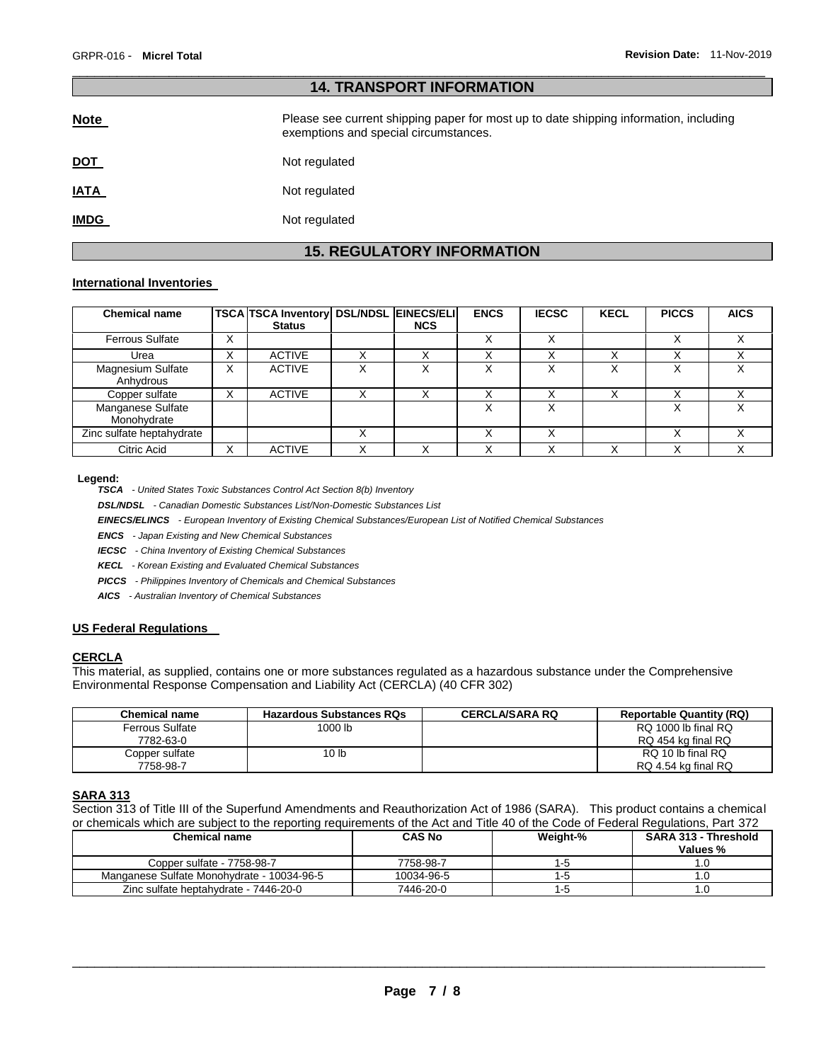| <b>14. TRANSPORT INFORMATION</b> |                                                                                                                                |  |  |
|----------------------------------|--------------------------------------------------------------------------------------------------------------------------------|--|--|
| <b>Note</b>                      | Please see current shipping paper for most up to date shipping information, including<br>exemptions and special circumstances. |  |  |
| <u>DOT</u>                       | Not regulated                                                                                                                  |  |  |
| <u>IATA</u>                      | Not regulated                                                                                                                  |  |  |
| <u>IMDG</u>                      | Not regulated                                                                                                                  |  |  |

\_\_\_\_\_\_\_\_\_\_\_\_\_\_\_\_\_\_\_\_\_\_\_\_\_\_\_\_\_\_\_\_\_\_\_\_\_\_\_\_\_\_\_\_\_\_\_\_\_\_\_\_\_\_\_\_\_\_\_\_\_\_\_\_\_\_\_\_\_\_\_\_\_\_\_\_\_\_\_\_\_\_\_\_\_\_\_\_\_\_\_\_\_

# **15. REGULATORY INFORMATION**

### **International Inventories**

| <b>Chemical name</b>                  |                   | <b>TSCA TSCA Inventory DSL/NDSL EINECS/ELI</b><br><b>Status</b> | <b>NCS</b> | <b>ENCS</b> | <b>IECSC</b> | <b>KECL</b>  | <b>PICCS</b>     | <b>AICS</b>  |
|---------------------------------------|-------------------|-----------------------------------------------------------------|------------|-------------|--------------|--------------|------------------|--------------|
| <b>Ferrous Sulfate</b>                | v<br>ᄉ            |                                                                 |            | ⋏           |              |              |                  |              |
| Urea                                  | ៶<br>⋏            | <b>ACTIVE</b>                                                   |            |             |              |              |                  |              |
| <b>Magnesium Sulfate</b><br>Anhydrous | X                 | <b>ACTIVE</b>                                                   |            |             |              | $\checkmark$ | $\check{ }$<br>⋏ | $\checkmark$ |
| Copper sulfate                        | $\checkmark$<br>ᄉ | <b>ACTIVE</b>                                                   |            |             |              |              |                  |              |
| Manganese Sulfate<br>Monohydrate      |                   |                                                                 |            |             |              |              |                  |              |
| Zinc sulfate heptahydrate             |                   |                                                                 |            |             |              |              |                  |              |
| Citric Acid                           | v                 | <b>ACTIVE</b>                                                   |            |             |              | $\checkmark$ | $\checkmark$     |              |

#### **Legend:**

*TSCA - United States Toxic Substances Control Act Section 8(b) Inventory* 

*DSL/NDSL - Canadian Domestic Substances List/Non-Domestic Substances List* 

*EINECS/ELINCS - European Inventory of Existing Chemical Substances/European List of Notified Chemical Substances* 

*ENCS - Japan Existing and New Chemical Substances* 

*IECSC - China Inventory of Existing Chemical Substances* 

*KECL - Korean Existing and Evaluated Chemical Substances* 

*PICCS - Philippines Inventory of Chemicals and Chemical Substances* 

*AICS - Australian Inventory of Chemical Substances* 

# **US Federal Regulations**

### **CERCLA**

This material, as supplied, contains one or more substances regulated as a hazardous substance under the Comprehensive Environmental Response Compensation and Liability Act (CERCLA) (40 CFR 302)

| <b>Chemical name</b>   | <b>Hazardous Substances RQs</b> | <b>CERCLA/SARA RQ</b> | <b>Reportable Quantity (RQ)</b> |
|------------------------|---------------------------------|-----------------------|---------------------------------|
| <b>Ferrous Sulfate</b> | 1000 lb                         |                       | RQ 1000 lb final RQ             |
| 7782-63-0              |                                 |                       | RQ 454 kg final RQ              |
| Copper sulfate         | 10 <sub>lb</sub>                |                       | RQ 10 lb final RQ               |
| 7758-98-7              |                                 |                       | RQ 4.54 kg final RQ             |

### **SARA 313**

Section 313 of Title III of the Superfund Amendments and Reauthorization Act of 1986 (SARA). This product contains a chemical or chemicals which are subject to the reporting requirements of the Act and Title 40 of the Code of Federal Regulations, Part 372

| <b>Chemical name</b>                       | <b>CAS No</b> | Weight-% | <b>SARA 313 - Threshold</b><br>Values % |
|--------------------------------------------|---------------|----------|-----------------------------------------|
| Copper sulfate - 7758-98-7                 | 7758-98-7     | I - O    |                                         |
| Manganese Sulfate Monohydrate - 10034-96-5 | 10034-96-5    | I - O    |                                         |
| Zinc sulfate heptahydrate - 7446-20-0      | 7446-20-0     | Е        |                                         |